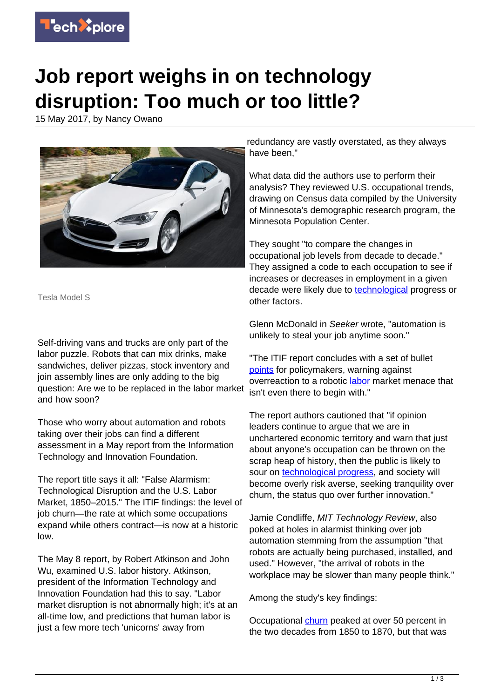

## **Job report weighs in on technology disruption: Too much or too little?**

15 May 2017, by Nancy Owano



Tesla Model S

Self-driving vans and trucks are only part of the labor puzzle. Robots that can mix drinks, make sandwiches, deliver pizzas, stock inventory and join assembly lines are only adding to the big question: Are we to be replaced in the labor market and how soon?

Those who worry about automation and robots taking over their jobs can find a different assessment in a May report from the Information Technology and Innovation Foundation.

The report title says it all: "False Alarmism: Technological Disruption and the U.S. Labor Market, 1850–2015." The ITIF findings: the level of job churn—the rate at which some occupations expand while others contract—is now at a historic low.

The May 8 report, by Robert Atkinson and John Wu, examined U.S. labor history. Atkinson, president of the Information Technology and Innovation Foundation had this to say. "Labor market disruption is not abnormally high; it's at an all-time low, and predictions that human labor is just a few more tech 'unicorns' away from

redundancy are vastly overstated, as they always have been,"

What data did the authors use to perform their analysis? They reviewed U.S. occupational trends, drawing on Census data compiled by the University of Minnesota's demographic research program, the Minnesota Population Center.

They sought "to compare the changes in occupational job levels from decade to decade." They assigned a code to each occupation to see if increases or decreases in employment in a given decade were likely due to **technological** progress or other factors.

Glenn McDonald in Seeker wrote, "automation is unlikely to steal your job anytime soon."

"The ITIF report concludes with a set of bullet [points](https://www.seeker.com/tech/robotics/the-robots-might-not-be-coming-for-your-job-after-all) for policymakers, warning against overreaction to a robotic [labor](https://techxplore.com/tags/labor/) market menace that isn't even there to begin with."

The report authors cautioned that "if opinion leaders continue to argue that we are in unchartered economic territory and warn that just about anyone's occupation can be thrown on the scrap heap of history, then the public is likely to sour on [technological progress](https://techxplore.com/tags/technological+progress/), and society will become overly risk averse, seeking tranquility over churn, the status quo over further innovation."

Jamie Condliffe, MIT Technology Review, also poked at holes in alarmist thinking over job automation stemming from the assumption "that robots are actually being purchased, installed, and used." However, "the arrival of robots in the workplace may be slower than many people think."

Among the study's key findings:

Occupational [churn](https://itif.org/publications/2017/05/08/us-labor-market-experiencing-unprecedented-calm-new-analysis-census-data) peaked at over 50 percent in the two decades from 1850 to 1870, but that was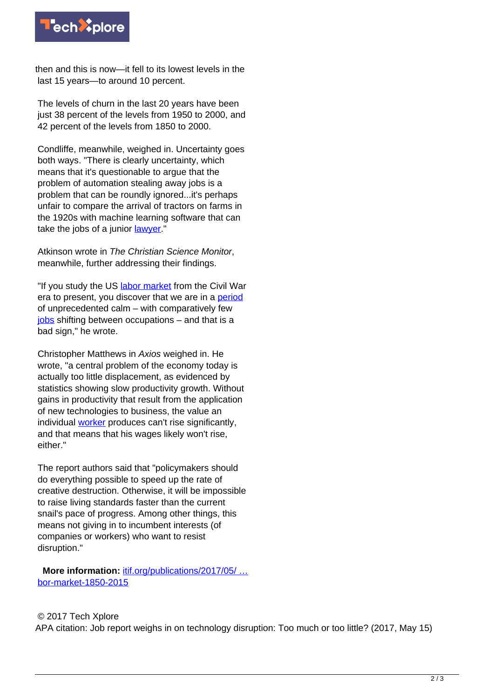

then and this is now—it fell to its lowest levels in the last 15 years—to around 10 percent.

The levels of churn in the last 20 years have been just 38 percent of the levels from 1950 to 2000, and 42 percent of the levels from 1850 to 2000.

Condliffe, meanwhile, weighed in. Uncertainty goes both ways. "There is clearly uncertainty, which means that it's questionable to argue that the problem of automation stealing away jobs is a problem that can be roundly ignored...it's perhaps unfair to compare the arrival of tractors on farms in the 1920s with machine learning software that can take the jobs of a junior [lawyer.](https://www.technologyreview.com/s/607850/is-automation-warping-the-labor-market-as-dramatically-as-we-think/)"

Atkinson wrote in The Christian Science Monitor, meanwhile, further addressing their findings.

"If you study the US [labor market](https://techxplore.com/tags/labor+market/) from the Civil War era to present, you discover that we are in a [period](http://www.csmonitor.com/Technology/Breakthroughs-Voices/2017/0510/Think-technology-is-disrupting-the-job-market-like-never-before-Think-again) of unprecedented calm – with comparatively few [jobs](https://techxplore.com/tags/jobs/) shifting between occupations – and that is a bad sign," he wrote.

Christopher Matthews in Axios weighed in. He wrote, "a central problem of the economy today is actually too little displacement, as evidenced by statistics showing slow productivity growth. Without gains in productivity that result from the application of new technologies to business, the value an individual [worker](https://www.axios.com/reality-check-technology-is-killing-fewer-jobs-than-ever-before-2398450900.html) produces can't rise significantly, and that means that his wages likely won't rise, either."

The report authors said that "policymakers should do everything possible to speed up the rate of creative destruction. Otherwise, it will be impossible to raise living standards faster than the current snail's pace of progress. Among other things, this means not giving in to incumbent interests (of companies or workers) who want to resist disruption."

 **More information:** [itif.org/publications/2017/05/ …](https://itif.org/publications/2017/05/08/false-alarmism-technological-disruption-and-us-labor-market-1850-2015) [bor-market-1850-2015](https://itif.org/publications/2017/05/08/false-alarmism-technological-disruption-and-us-labor-market-1850-2015)

## © 2017 Tech Xplore

APA citation: Job report weighs in on technology disruption: Too much or too little? (2017, May 15)